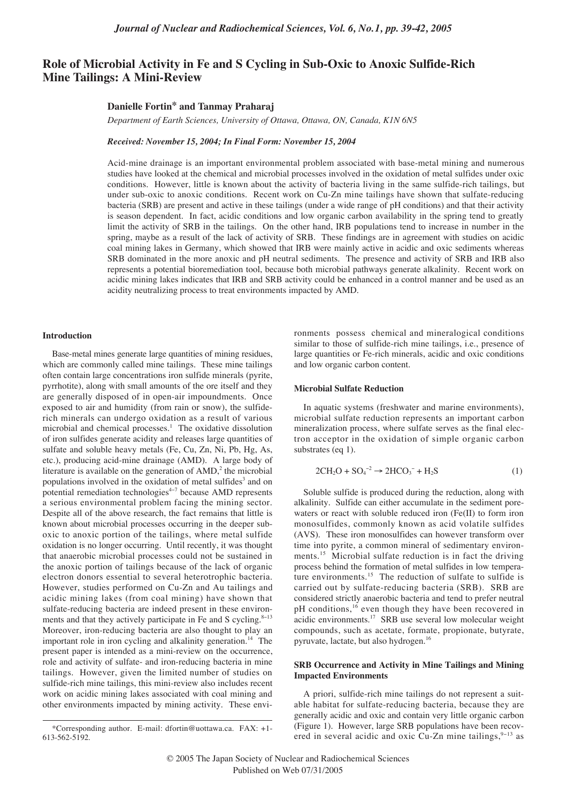# **Role of Microbial Activity in Fe and S Cycling in Sub-Oxic to Anoxic Sulfide-Rich Mine Tailings: A Mini-Review**

# **Danielle Fortin\* and Tanmay Praharaj**

*Department of Earth Sciences, University of Ottawa, Ottawa, ON, Canada, K1N 6N5*

#### *Received: November 15, 2004; In Final Form: November 15, 2004*

Acid-mine drainage is an important environmental problem associated with base-metal mining and numerous studies have looked at the chemical and microbial processes involved in the oxidation of metal sulfides under oxic conditions. However, little is known about the activity of bacteria living in the same sulfide-rich tailings, but under sub-oxic to anoxic conditions. Recent work on Cu-Zn mine tailings have shown that sulfate-reducing bacteria (SRB) are present and active in these tailings (under a wide range of pH conditions) and that their activity is season dependent. In fact, acidic conditions and low organic carbon availability in the spring tend to greatly limit the activity of SRB in the tailings. On the other hand, IRB populations tend to increase in number in the spring, maybe as a result of the lack of activity of SRB. These findings are in agreement with studies on acidic coal mining lakes in Germany, which showed that IRB were mainly active in acidic and oxic sediments whereas SRB dominated in the more anoxic and pH neutral sediments. The presence and activity of SRB and IRB also represents a potential bioremediation tool, because both microbial pathways generate alkalinity. Recent work on acidic mining lakes indicates that IRB and SRB activity could be enhanced in a control manner and be used as an acidity neutralizing process to treat environments impacted by AMD.

# **Introduction**

Base-metal mines generate large quantities of mining residues, which are commonly called mine tailings. These mine tailings often contain large concentrations iron sulfide minerals (pyrite, pyrrhotite), along with small amounts of the ore itself and they are generally disposed of in open-air impoundments. Once exposed to air and humidity (from rain or snow), the sulfiderich minerals can undergo oxidation as a result of various microbial and chemical processes.<sup>1</sup> The oxidative dissolution of iron sulfides generate acidity and releases large quantities of sulfate and soluble heavy metals (Fe, Cu, Zn, Ni, Pb, Hg, As, etc.), producing acid-mine drainage (AMD). A large body of literature is available on the generation of  $AMD<sub>z</sub><sup>2</sup>$  the microbial populations involved in the oxidation of metal sulfides<sup>3</sup> and on potential remediation technologies<sup>4-7</sup> because AMD represents a serious environmental problem facing the mining sector. Despite all of the above research, the fact remains that little is known about microbial processes occurring in the deeper suboxic to anoxic portion of the tailings, where metal sulfide oxidation is no longer occurring. Until recently, it was thought that anaerobic microbial processes could not be sustained in the anoxic portion of tailings because of the lack of organic electron donors essential to several heterotrophic bacteria. However, studies performed on Cu-Zn and Au tailings and acidic mining lakes (from coal mining) have shown that sulfate-reducing bacteria are indeed present in these environments and that they actively participate in Fe and S cycling.<sup>8-13</sup> Moreover, iron-reducing bacteria are also thought to play an important role in iron cycling and alkalinity generation.<sup>14</sup> The present paper is intended as a mini-review on the occurrence, role and activity of sulfate- and iron-reducing bacteria in mine tailings. However, given the limited number of studies on sulfide-rich mine tailings, this mini-review also includes recent work on acidic mining lakes associated with coal mining and other environments impacted by mining activity. These envi-

ronments possess chemical and mineralogical conditions similar to those of sulfide-rich mine tailings, i.e., presence of large quantities or Fe-rich minerals, acidic and oxic conditions and low organic carbon content.

#### **Microbial Sulfate Reduction**

In aquatic systems (freshwater and marine environments), microbial sulfate reduction represents an important carbon mineralization process, where sulfate serves as the final electron acceptor in the oxidation of simple organic carbon substrates (eq 1).

$$
2CH2O + SO4-2 \rightarrow 2HCO3- + H2S
$$
 (1)

Soluble sulfide is produced during the reduction, along with alkalinity. Sulfide can either accumulate in the sediment porewaters or react with soluble reduced iron (Fe(II) to form iron monosulfides, commonly known as acid volatile sulfides (AVS). These iron monosulfides can however transform over time into pyrite, a common mineral of sedimentary environments.<sup>15</sup> Microbial sulfate reduction is in fact the driving process behind the formation of metal sulfides in low temperature environments.<sup>15</sup> The reduction of sulfate to sulfide is carried out by sulfate-reducing bacteria (SRB). SRB are considered strictly anaerobic bacteria and tend to prefer neutral pH conditions,<sup>16</sup> even though they have been recovered in acidic environments.17 SRB use several low molecular weight compounds, such as acetate, formate, propionate, butyrate, pyruvate, lactate, but also hydrogen.16

# **SRB Occurrence and Activity in Mine Tailings and Mining Impacted Environments**

A priori, sulfide-rich mine tailings do not represent a suitable habitat for sulfate-reducing bacteria, because they are generally acidic and oxic and contain very little organic carbon (Figure 1). However, large SRB populations have been recovered in several acidic and oxic Cu-Zn mine tailings, $9-13$  as

<sup>\*</sup>Corresponding author. E-mail: dfortin@uottawa.ca. FAX: +1- 613-562-5192.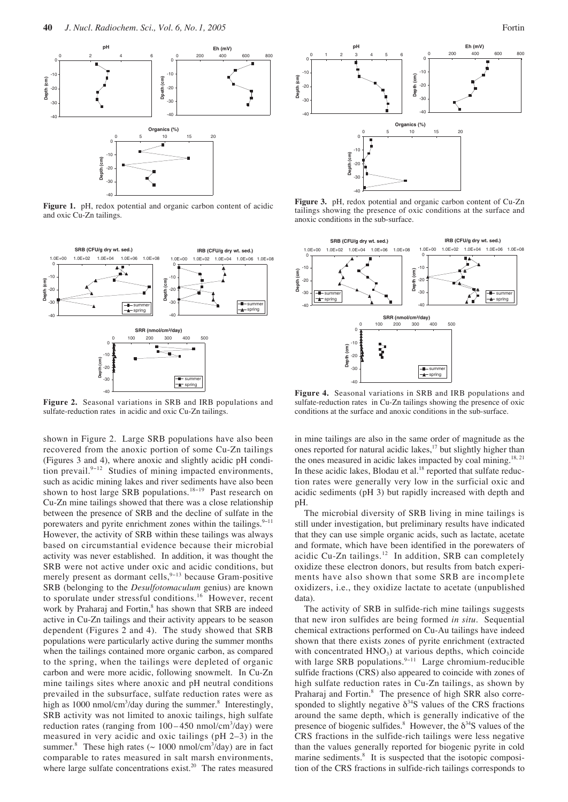

**Figure 1.** pH, redox potential and organic carbon content of acidic and oxic Cu-Zn tailings.



**Figure 2.** Seasonal variations in SRB and IRB populations and sulfate-reduction rates in acidic and oxic Cu-Zn tailings.

shown in Figure 2. Large SRB populations have also been recovered from the anoxic portion of some Cu-Zn tailings (Figures 3 and 4), where anoxic and slightly acidic pH condition prevail.<sup>9-12</sup> Studies of mining impacted environments, such as acidic mining lakes and river sediments have also been shown to host large SRB populations.<sup>18-19</sup> Past research on Cu-Zn mine tailings showed that there was a close relationship between the presence of SRB and the decline of sulfate in the porewaters and pyrite enrichment zones within the tailings.<sup>9-11</sup> However, the activity of SRB within these tailings was always based on circumstantial evidence because their microbial activity was never established. In addition, it was thought the SRB were not active under oxic and acidic conditions, but merely present as dormant cells,<sup>9-13</sup> because Gram-positive SRB (belonging to the *Desulfotomaculum* genius) are known to sporulate under stressful conditions.<sup>16</sup> However, recent work by Praharaj and Fortin,<sup>8</sup> has shown that SRB are indeed active in Cu-Zn tailings and their activity appears to be season dependent (Figures 2 and 4). The study showed that SRB populations were particularly active during the summer months when the tailings contained more organic carbon, as compared to the spring, when the tailings were depleted of organic carbon and were more acidic, following snowmelt. In Cu-Zn mine tailings sites where anoxic and pH neutral conditions prevailed in the subsurface, sulfate reduction rates were as high as 1000 nmol/cm<sup>3</sup>/day during the summer.<sup>8</sup> Interestingly, SRB activity was not limited to anoxic tailings, high sulfate reduction rates (ranging from 100–450 nmol/cm<sup>3</sup>/day) were measured in very acidic and oxic tailings (pH 2–3) in the summer.<sup>8</sup> These high rates ( $\sim 1000$  nmol/cm<sup>3</sup>/day) are in fact comparable to rates measured in salt marsh environments, where large sulfate concentrations exist.<sup>20</sup> The rates measured



**Figure 3.** pH, redox potential and organic carbon content of Cu-Zn tailings showing the presence of oxic conditions at the surface and anoxic conditions in the sub-surface.



**Figure 4.** Seasonal variations in SRB and IRB populations and sulfate-reduction rates in Cu-Zn tailings showing the presence of oxic conditions at the surface and anoxic conditions in the sub-surface.

in mine tailings are also in the same order of magnitude as the ones reported for natural acidic lakes,<sup>17</sup> but slightly higher than the ones measured in acidic lakes impacted by coal mining.<sup>18, 21</sup> In these acidic lakes, Blodau et al.<sup>18</sup> reported that sulfate reduction rates were generally very low in the surficial oxic and acidic sediments (pH 3) but rapidly increased with depth and pH.

The microbial diversity of SRB living in mine tailings is still under investigation, but preliminary results have indicated that they can use simple organic acids, such as lactate, acetate and formate, which have been identified in the porewaters of acidic Cu-Zn tailings.<sup>12</sup> In addition, SRB can completely oxidize these electron donors, but results from batch experiments have also shown that some SRB are incomplete oxidizers, i.e., they oxidize lactate to acetate (unpublished data).

The activity of SRB in sulfide-rich mine tailings suggests that new iron sulfides are being formed *in situ*. Sequential chemical extractions performed on Cu-Au tailings have indeed shown that there exists zones of pyrite enrichment (extracted with concentrated HNO<sub>3</sub>) at various depths, which coincide with large SRB populations.<sup>9-11</sup> Large chromium-reducible sulfide fractions (CRS) also appeared to coincide with zones of high sulfate reduction rates in Cu-Zn tailings, as shown by Praharaj and Fortin.<sup>8</sup> The presence of high SRR also corresponded to slightly negative  $\delta^{34}S$  values of the CRS fractions around the same depth, which is generally indicative of the presence of biogenic sulfides.<sup>8</sup> However, the  $\delta^{34}S$  values of the CRS fractions in the sulfide-rich tailings were less negative than the values generally reported for biogenic pyrite in cold marine sediments.<sup>8</sup> It is suspected that the isotopic composition of the CRS fractions in sulfide-rich tailings corresponds to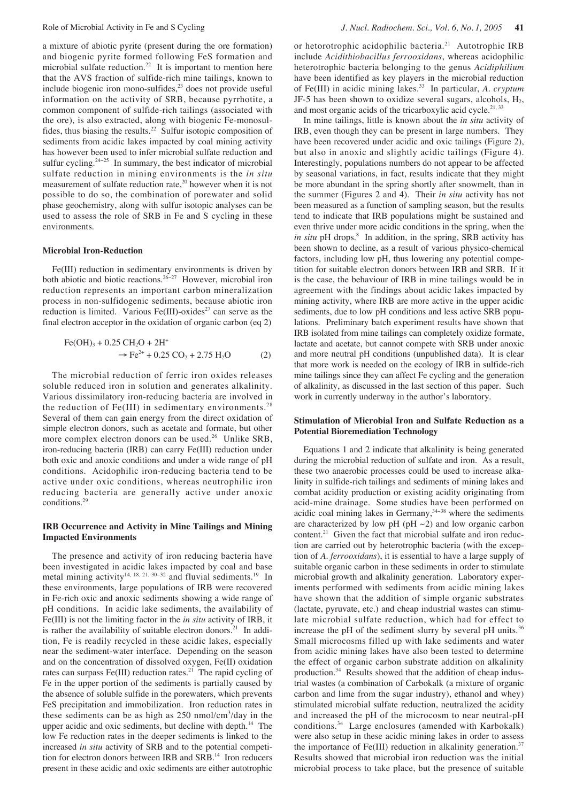a mixture of abiotic pyrite (present during the ore formation) and biogenic pyrite formed following FeS formation and microbial sulfate reduction.<sup>22</sup> It is important to mention here that the AVS fraction of sulfide-rich mine tailings, known to include biogenic iron mono-sulfides, $2<sup>3</sup>$  does not provide useful information on the activity of SRB, because pyrrhotite, a common component of sulfide-rich tailings (associated with the ore), is also extracted, along with biogenic Fe-monosulfides, thus biasing the results.22 Sulfur isotopic composition of sediments from acidic lakes impacted by coal mining activity has however been used to infer microbial sulfate reduction and sulfur cycling.<sup>24−25</sup> In summary, the best indicator of microbial sulfate reduction in mining environments is the *in situ* measurement of sulfate reduction rate, $^{20}$  however when it is not possible to do so, the combination of porewater and solid phase geochemistry, along with sulfur isotopic analyses can be used to assess the role of SRB in Fe and S cycling in these environments.

#### **Microbial Iron-Reduction**

Fe(III) reduction in sedimentary environments is driven by both abiotic and biotic reactions.26−<sup>27</sup> However, microbial iron reduction represents an important carbon mineralization process in non-sulfidogenic sediments, because abiotic iron reduction is limited. Various  $Fe(III)$ -oxides<sup>27</sup> can serve as the final electron acceptor in the oxidation of organic carbon (eq 2)

$$
\text{Fe(OH)}_3 + 0.25 \text{ CH}_2\text{O} + 2\text{H}^+ \\
\rightarrow \text{Fe}^{2+} + 0.25 \text{ CO}_2 + 2.75 \text{ H}_2\text{O} \tag{2}
$$

The microbial reduction of ferric iron oxides releases soluble reduced iron in solution and generates alkalinity. Various dissimilatory iron-reducing bacteria are involved in the reduction of  $Fe(III)$  in sedimentary environments.<sup>28</sup> Several of them can gain energy from the direct oxidation of simple electron donors, such as acetate and formate, but other more complex electron donors can be used.26 Unlike SRB, iron-reducing bacteria (IRB) can carry Fe(III) reduction under both oxic and anoxic conditions and under a wide range of pH conditions. Acidophilic iron-reducing bacteria tend to be active under oxic conditions, whereas neutrophilic iron reducing bacteria are generally active under anoxic conditions.<sup>2</sup>

## **IRB Occurrence and Activity in Mine Tailings and Mining Impacted Environments**

The presence and activity of iron reducing bacteria have been investigated in acidic lakes impacted by coal and base metal mining activity<sup>14, 18, 21, 30–32</sup> and fluvial sediments.<sup>19</sup> In these environments, large populations of IRB were recovered in Fe-rich oxic and anoxic sediments showing a wide range of pH conditions. In acidic lake sediments, the availability of Fe(III) is not the limiting factor in the *in situ* activity of IRB, it is rather the availability of suitable electron donors.<sup>21</sup> In addition, Fe is readily recycled in these acidic lakes, especially near the sediment-water interface. Depending on the season and on the concentration of dissolved oxygen, Fe(II) oxidation rates can surpass Fe(III) reduction rates.<sup>21</sup> The rapid cycling of Fe in the upper portion of the sediments is partially caused by the absence of soluble sulfide in the porewaters, which prevents FeS precipitation and immobilization. Iron reduction rates in these sediments can be as high as  $250 \text{ nmol/cm}^3/\text{day}$  in the upper acidic and oxic sediments, but decline with depth.<sup>14</sup> The low Fe reduction rates in the deeper sediments is linked to the increased *in situ* activity of SRB and to the potential competition for electron donors between IRB and SRB.<sup>14</sup> Iron reducers present in these acidic and oxic sediments are either autotrophic

or hetorotrophic acidophilic bacteria.<sup>21</sup> Autotrophic IRB include *Acidithiobacillus ferrooxidans*, whereas acidophilic heterotrophic bacteria belonging to the genus *Acidiphilium* have been identified as key players in the microbial reduction of Fe(III) in acidic mining lakes.33 In particular, *A. cryptum* JF-5 has been shown to oxidize several sugars, alcohols,  $H_2$ , and most organic acids of the tricarboxylic acid cycle. $21, 33$ 

In mine tailings, little is known about the *in situ* activity of IRB, even though they can be present in large numbers. They have been recovered under acidic and oxic tailings (Figure 2). but also in anoxic and slightly acidic tailings (Figure 4). Interestingly, populations numbers do not appear to be affected by seasonal variations, in fact, results indicate that they might be more abundant in the spring shortly after snowmelt, than in the summer (Figures 2 and 4). Their *in situ* activity has not been measured as a function of sampling season, but the results tend to indicate that IRB populations might be sustained and even thrive under more acidic conditions in the spring, when the *in situ* pH drops.<sup>8</sup> In addition, in the spring, SRB activity has been shown to decline, as a result of various physico-chemical factors, including low pH, thus lowering any potential competition for suitable electron donors between IRB and SRB. If it is the case, the behaviour of IRB in mine tailings would be in agreement with the findings about acidic lakes impacted by mining activity, where IRB are more active in the upper acidic sediments, due to low pH conditions and less active SRB populations. Preliminary batch experiment results have shown that IRB isolated from mine tailings can completely oxidize formate, lactate and acetate, but cannot compete with SRB under anoxic and more neutral pH conditions (unpublished data). It is clear that more work is needed on the ecology of IRB in sulfide-rich mine tailings since they can affect Fe cycling and the generation of alkalinity, as discussed in the last section of this paper. Such work in currently underway in the author's laboratory.

## **Stimulation of Microbial Iron and Sulfate Reduction as a Potential Bioremediation Technology**

Equations 1 and 2 indicate that alkalinity is being generated during the microbial reduction of sulfate and iron. As a result, these two anaerobic processes could be used to increase alkalinity in sulfide-rich tailings and sediments of mining lakes and combat acidity production or existing acidity originating from acid-mine drainage. Some studies have been performed on acidic coal mining lakes in Germany,<sup>34–38</sup> where the sediments are characterized by low pH (pH  $\sim$ 2) and low organic carbon content.<sup>21</sup> Given the fact that microbial sulfate and iron reduction are carried out by heterotrophic bacteria (with the exception of *A. ferrooxidans*), it is essential to have a large supply of suitable organic carbon in these sediments in order to stimulate microbial growth and alkalinity generation. Laboratory experiments performed with sediments from acidic mining lakes have shown that the addition of simple organic substrates (lactate, pyruvate, etc.) and cheap industrial wastes can stimulate microbial sulfate reduction, which had for effect to increase the pH of the sediment slurry by several pH units. $36$ Small microcosms filled up with lake sediments and water from acidic mining lakes have also been tested to determine the effect of organic carbon substrate addition on alkalinity production.<sup>34</sup> Results showed that the addition of cheap industrial wastes (a combination of Carbokalk (a mixture of organic carbon and lime from the sugar industry), ethanol and whey) stimulated microbial sulfate reduction, neutralized the acidity and increased the pH of the microcosm to near neutral-pH conditions.34 Large enclosures (amended with Karbokalk) were also setup in these acidic mining lakes in order to assess the importance of Fe(III) reduction in alkalinity generation.<sup>37</sup> Results showed that microbial iron reduction was the initial microbial process to take place, but the presence of suitable